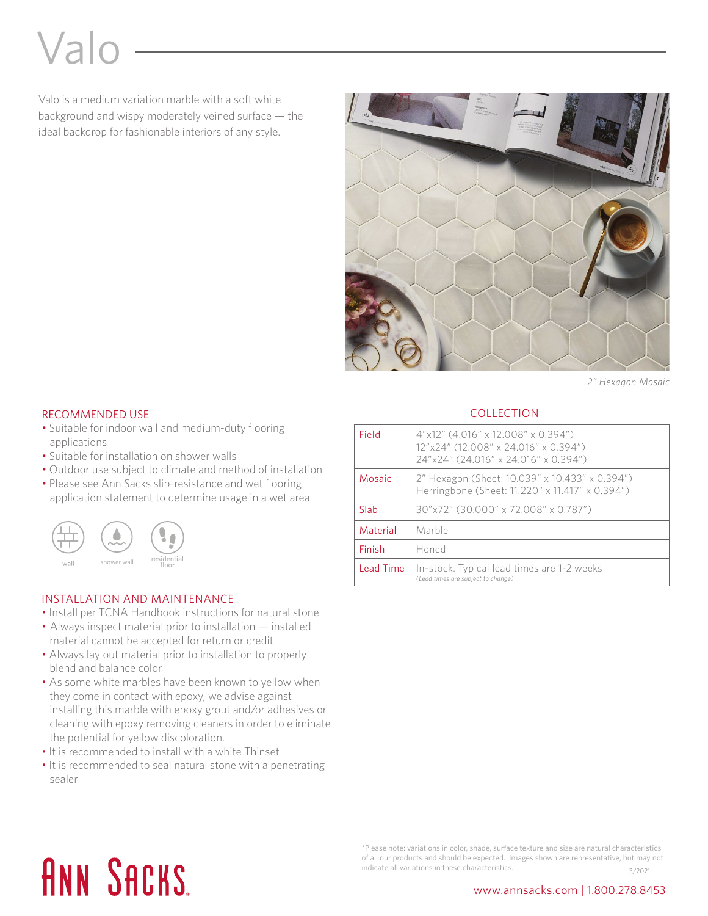# Valo

Valo is a medium variation marble with a soft white background and wispy moderately veined surface — the ideal backdrop for fashionable interiors of any style.



*2" Hexagon Mosaic*

### RECOMMENDED USE

- Suitable for indoor wall and medium-duty flooring applications
- Suitable for installation on shower walls
- Outdoor use subject to climate and method of installation
- Please see Ann Sacks slip-resistance and wet flooring application statement to determine usage in a wet area



#### INSTALLATION AND MAINTENANCE

- Install per TCNA Handbook instructions for natural stone
- Always inspect material prior to installation installed material cannot be accepted for return or credit
- Always lay out material prior to installation to properly blend and balance color
- As some white marbles have been known to yellow when they come in contact with epoxy, we advise against installing this marble with epoxy grout and/or adhesives or cleaning with epoxy removing cleaners in order to eliminate the potential for yellow discoloration.
- It is recommended to install with a white Thinset
- It is recommended to seal natural stone with a penetrating sealer

### **COLLECTION**

| Field     | 4"x12" (4.016" x 12.008" x 0.394")<br>12"x24" (12.008" x 24.016" x 0.394")<br>24"x24" (24.016" x 24.016" x 0.394") |
|-----------|--------------------------------------------------------------------------------------------------------------------|
| Mosaic    | 2" Hexagon (Sheet: 10.039" x 10.433" x 0.394")<br>Herringbone (Sheet: 11.220" x 11.417" x 0.394")                  |
| Slah      | 30"x72" (30.000" x 72.008" x 0.787")                                                                               |
| Material  | Marble                                                                                                             |
| Finish    | Honed                                                                                                              |
| Lead Time | In-stock. Typical lead times are 1-2 weeks<br>(Lead times are subject to change)                                   |

# **ANN SACKS**

<sup>\*</sup>Please note: variations in color, shade, surface texture and size are natural characteristics of all our products and should be expected. Images shown are representative, but may not indicate all variations in these characteristics.